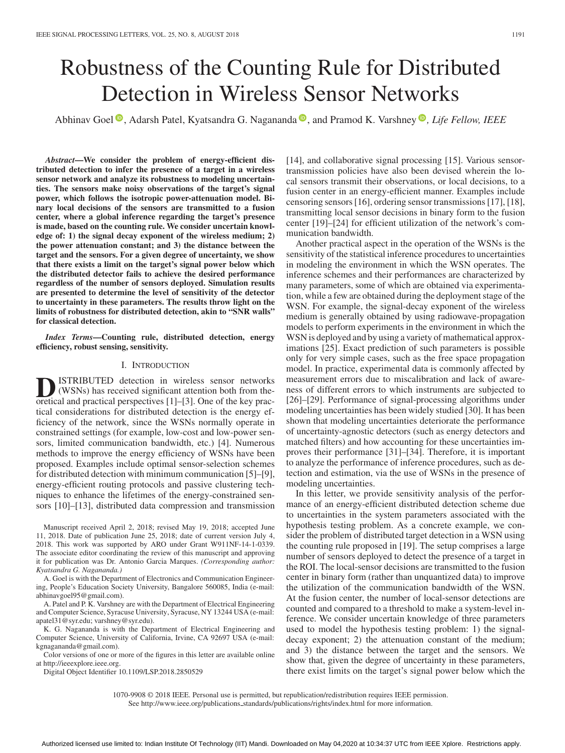# Robustness of the Counting Rule for Distributed Detection in Wireless Sensor Networks

Abhinav Goel<sup><sup>®</sup>[,](https://orcid.org/0000-0003-4504-5088) Adarsh Patel, Kyatsandra G. Nagananda<sup>®</sup>, and Pramod K. Varshney<sup>®</sup>, Life Fellow, IEEE</sup>

*Abstract***—We consider the problem of energy-efficient distributed detection to infer the presence of a target in a wireless sensor network and analyze its robustness to modeling uncertainties. The sensors make noisy observations of the target's signal power, which follows the isotropic power-attenuation model. Binary local decisions of the sensors are transmitted to a fusion center, where a global inference regarding the target's presence is made, based on the counting rule. We consider uncertain knowledge of: 1) the signal decay exponent of the wireless medium; 2) the power attenuation constant; and 3) the distance between the target and the sensors. For a given degree of uncertainty, we show that there exists a limit on the target's signal power below which the distributed detector fails to achieve the desired performance regardless of the number of sensors deployed. Simulation results are presented to determine the level of sensitivity of the detector to uncertainty in these parameters. The results throw light on the limits of robustness for distributed detection, akin to "SNR walls" for classical detection.**

*Index Terms***—Counting rule, distributed detection, energy efficiency, robust sensing, sensitivity.**

### I. INTRODUCTION

**D**ISTRIBUTED detection in wireless sensor networks<br>(WSNs) has received significant attention both from the-<br>oretical and practical perspectives [1]–[3]. One of the key pracoretical and practical perspectives [1]–[3]. One of the key practical considerations for distributed detection is the energy efficiency of the network, since the WSNs normally operate in constrained settings (for example, low-cost and low-power sensors, limited communication bandwidth, etc.) [4]. Numerous methods to improve the energy efficiency of WSNs have been proposed. Examples include optimal sensor-selection schemes for distributed detection with minimum communication [5]–[9], energy-efficient routing protocols and passive clustering techniques to enhance the lifetimes of the energy-constrained sensors [10]–[13], distributed data compression and transmission

Manuscript received April 2, 2018; revised May 19, 2018; accepted June 11, 2018. Date of publication June 25, 2018; date of current version July 4, 2018. This work was supported by ARO under Grant W911NF-14-1-0339. The associate editor coordinating the review of this manuscript and approving it for publication was Dr. Antonio Garcia Marques. *(Corresponding author: Kyatsandra G. Nagananda.)*

A. Goel is with the Department of Electronics and Communication Engineering, People's Education Society University, Bangalore 560085, India (e-mail: [abhinavgoel95@gmail.com\)](mailto:abhinavgoel95@gmail.com).

A. Patel and P. K. Varshney are with the Department of Electrical Engineering and Computer Science, Syracuse University, Syracuse, NY 13244 USA (e-mail: [apatel31@syr.edu;](mailto:apatel31@syr.edu) [varshney@syr.edu\)](mailto:varshney@syr.edu).

K. G. Nagananda is with the Department of Electrical Engineering and Computer Science, University of California, Irvine, CA 92697 USA (e-mail: [kgnagananda@gmail.com\)](mailto:kgnagananda@gmail.com).

Color versions of one or more of the figures in this letter are available online at http://ieeexplore.ieee.org.

Digital Object Identifier 10.1109/LSP.2018.2850529

[14], and collaborative signal processing [15]. Various sensortransmission policies have also been devised wherein the local sensors transmit their observations, or local decisions, to a fusion center in an energy-efficient manner. Examples include censoring sensors [16], ordering sensor transmissions [17], [18], transmitting local sensor decisions in binary form to the fusion center [19]–[24] for efficient utilization of the network's communication bandwidth.

Another practical aspect in the operation of the WSNs is the sensitivity of the statistical inference procedures to uncertainties in modeling the environment in which the WSN operates. The inference schemes and their performances are characterized by many parameters, some of which are obtained via experimentation, while a few are obtained during the deployment stage of the WSN. For example, the signal-decay exponent of the wireless medium is generally obtained by using radiowave-propagation models to perform experiments in the environment in which the WSN is deployed and by using a variety of mathematical approximations [25]. Exact prediction of such parameters is possible only for very simple cases, such as the free space propagation model. In practice, experimental data is commonly affected by measurement errors due to miscalibration and lack of awareness of different errors to which instruments are subjected to [26]–[29]. Performance of signal-processing algorithms under modeling uncertainties has been widely studied [30]. It has been shown that modeling uncertainties deteriorate the performance of uncertainty-agnostic detectors (such as energy detectors and matched filters) and how accounting for these uncertainties improves their performance [31]–[34]. Therefore, it is important to analyze the performance of inference procedures, such as detection and estimation, via the use of WSNs in the presence of modeling uncertainties.

In this letter, we provide sensitivity analysis of the performance of an energy-efficient distributed detection scheme due to uncertainties in the system parameters associated with the hypothesis testing problem. As a concrete example, we consider the problem of distributed target detection in a WSN using the counting rule proposed in [19]. The setup comprises a large number of sensors deployed to detect the presence of a target in the ROI. The local-sensor decisions are transmitted to the fusion center in binary form (rather than unquantized data) to improve the utilization of the communication bandwidth of the WSN. At the fusion center, the number of local-sensor detections are counted and compared to a threshold to make a system-level inference. We consider uncertain knowledge of three parameters used to model the hypothesis testing problem: 1) the signaldecay exponent; 2) the attenuation constant of the medium; and 3) the distance between the target and the sensors. We show that, given the degree of uncertainty in these parameters, there exist limits on the target's signal power below which the

1070-9908 © 2018 IEEE. Personal use is permitted, but republication/redistribution requires IEEE permission.

See http://www.ieee.org/publications.standards/publications/rights/index.html for more information.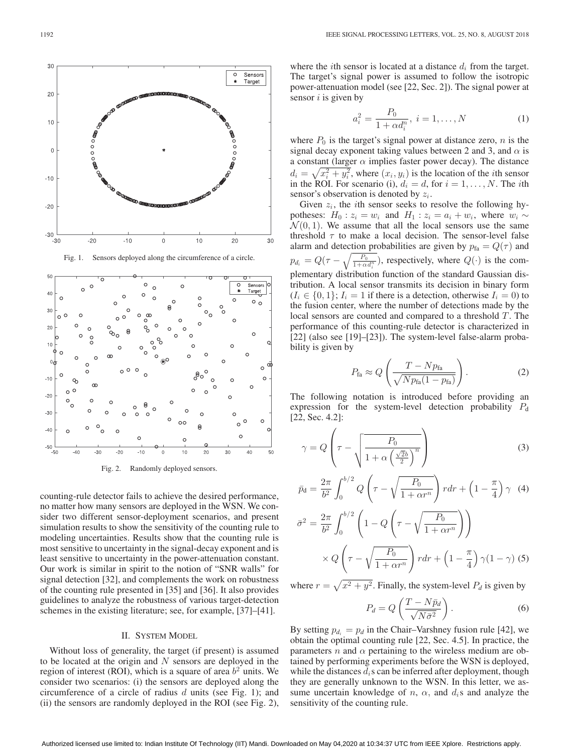

Fig. 1. Sensors deployed along the circumference of a circle.



Fig. 2. Randomly deployed sensors.

counting-rule detector fails to achieve the desired performance, no matter how many sensors are deployed in the WSN. We consider two different sensor-deployment scenarios, and present simulation results to show the sensitivity of the counting rule to modeling uncertainties. Results show that the counting rule is most sensitive to uncertainty in the signal-decay exponent and is least sensitive to uncertainty in the power-attenuation constant. Our work is similar in spirit to the notion of "SNR walls" for signal detection [32], and complements the work on robustness of the counting rule presented in [35] and [36]. It also provides guidelines to analyze the robustness of various target-detection schemes in the existing literature; see, for example, [37]–[41].

# II. SYSTEM MODEL

Without loss of generality, the target (if present) is assumed to be located at the origin and  $N$  sensors are deployed in the region of interest (ROI), which is a square of area  $b<sup>2</sup>$  units. We consider two scenarios: (i) the sensors are deployed along the circumference of a circle of radius  $d$  units (see Fig. 1); and (ii) the sensors are randomly deployed in the ROI (see Fig. 2), where the *i*th sensor is located at a distance  $d_i$  from the target. The target's signal power is assumed to follow the isotropic power-attenuation model (see [22, Sec. 2]). The signal power at sensor  $i$  is given by

$$
a_i^2 = \frac{P_0}{1 + \alpha d_i^n}, \ i = 1, \dots, N
$$
 (1)

where  $P_0$  is the target's signal power at distance zero, *n* is the signal decay exponent taking values between 2 and 3, and  $\alpha$  is a constant (larger  $\alpha$  implies faster power decay). The distance  $d_i = \sqrt{x_i^2 + y_i^2}$ , where  $(x_i, y_i)$  is the location of the *i*th sensor in the ROI. For scenario (i),  $d_i = d$ , for  $i = 1, \ldots, N$ . The *i*th sensor's observation is denoted by  $z_i$ .

Given  $z_i$ , the *i*th sensor seeks to resolve the following hypotheses:  $H_0$ :  $z_i = w_i$  and  $H_1$ :  $z_i = a_i + w_i$ , where  $w_i \sim$  $\mathcal{N}(0, 1)$ . We assume that all the local sensors use the same threshold  $\tau$  to make a local decision. The sensor-level false alarm and detection probabilities are given by  $p_{fa} = Q(\tau)$  and  $p_{d_i} = Q(\tau - \sqrt{\frac{P_0}{1 + \alpha d_i^m}})$ , respectively, where  $Q(\cdot)$  is the complementary distribution function of the standard Gaussian distribution. A local sensor transmits its decision in binary form  $(I_i \in \{0,1\}; I_i = 1$  if there is a detection, otherwise  $I_i = 0$  to the fusion center, where the number of detections made by the local sensors are counted and compared to a threshold T. The performance of this counting-rule detector is characterized in [22] (also see [19]–[23]). The system-level false-alarm probability is given by

$$
P_{\text{fa}} \approx Q \left( \frac{T - N p_{\text{fa}}}{\sqrt{N p_{\text{fa}} (1 - p_{\text{fa}})}} \right). \tag{2}
$$

The following notation is introduced before providing an expression for the system-level detection probability  $P_d$ [22, Sec. 4.2]:

$$
\gamma = Q \left( \tau - \sqrt{\frac{P_0}{1 + \alpha \left(\frac{\sqrt{2}b}{2}\right)^n}} \right)
$$
 (3)

$$
\bar{p}_d = \frac{2\pi}{b^2} \int_0^{b/2} Q\left(\tau - \sqrt{\frac{P_0}{1 + \alpha r^n}}\right) r dr + \left(1 - \frac{\pi}{4}\right) \gamma \tag{4}
$$

$$
\bar{\sigma}^2 = \frac{2\pi}{b^2} \int_0^{b/2} \left( 1 - Q \left( \tau - \sqrt{\frac{P_0}{1 + \alpha r^n}} \right) \right) \times Q \left( \tau - \sqrt{\frac{P_0}{1 + \alpha r^n}} \right) r dr + \left( 1 - \frac{\pi}{4} \right) \gamma (1 - \gamma) (5)
$$

where  $r = \sqrt{x^2 + y^2}$ . Finally, the system-level  $P_d$  is given by

$$
P_d = Q\left(\frac{T - N\bar{p}_d}{\sqrt{N\bar{\sigma}^2}}\right).
$$
 (6)

By setting  $p_{d_i} = p_d$  in the Chair–Varshney fusion rule [42], we obtain the optimal counting rule [22, Sec. 4.5]. In practice, the parameters *n* and  $\alpha$  pertaining to the wireless medium are obtained by performing experiments before the WSN is deployed, while the distances  $d_i$  s can be inferred after deployment, though they are generally unknown to the WSN. In this letter, we assume uncertain knowledge of n,  $\alpha$ , and  $d_i$ s and analyze the sensitivity of the counting rule.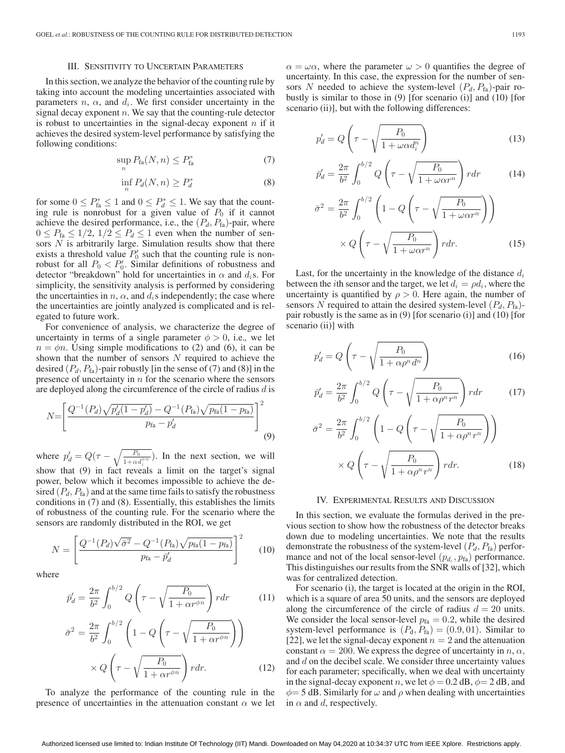#### III. SENSITIVITY TO UNCERTAIN PARAMETERS

In this section, we analyze the behavior of the counting rule by taking into account the modeling uncertainties associated with parameters  $n$ ,  $\alpha$ , and  $d_i$ . We first consider uncertainty in the signal decay exponent  $n$ . We say that the counting-rule detector is robust to uncertainties in the signal-decay exponent  $n$  if it achieves the desired system-level performance by satisfying the following conditions:

$$
\sup_{n} P_{\text{fa}}(N, n) \le P_{\text{fa}}^{*} \tag{7}
$$

$$
\inf_{n} P_d(N, n) \ge P_d^* \tag{8}
$$

for some  $0 \le P_{\text{fa}}^* \le 1$  and  $0 \le P_d^* \le 1$ . We say that the counting rule is nonrobust for a given value of  $P_0$  if it cannot achieve the desired performance, i.e., the  $(P_d, P_{fa})$ -pair, where  $0 \le P_{\text{fa}} \le 1/2$ ,  $1/2 \le P_d \le 1$  even when the number of sensors  $N$  is arbitrarily large. Simulation results show that there exists a threshold value  $P'_0$  such that the counting rule is nonrobust for all  $P_0 < P'_0$ . Similar definitions of robustness and detector "breakdown" hold for uncertainties in  $\alpha$  and  $d_i$ s. For simplicity, the sensitivity analysis is performed by considering the uncertainties in  $n$ ,  $\alpha$ , and  $d_i$ s independently; the case where the uncertainties are jointly analyzed is complicated and is relegated to future work.

For convenience of analysis, we characterize the degree of uncertainty in terms of a single parameter  $\phi > 0$ , i.e., we let  $n = \phi n$ . Using simple modifications to (2) and (6), it can be shown that the number of sensors  $N$  required to achieve the desired  $(P_d, P_{fa})$ -pair robustly [in the sense of (7) and (8)] in the presence of uncertainty in  $n$  for the scenario where the sensors are deployed along the circumference of the circle of radius  $d$  is

$$
N = \left[ \frac{Q^{-1}(P_d)\sqrt{p_d'(1-p_d')}-Q^{-1}(P_{\text{fa}})\sqrt{p_{\text{fa}}(1-p_{\text{fa}})}}{p_{\text{fa}}-p_d'} \right]^2
$$
\n(9)

where  $p_d = Q(\tau - \sqrt{\frac{P_0}{1 + \alpha d_i^{\phi n}}})$ . In the next section, we will show that (9) in fact reveals a limit on the target's signal power, below which it becomes impossible to achieve the desired  $(P_d, P_{fa})$  and at the same time fails to satisfy the robustness conditions in (7) and (8). Essentially, this establishes the limits of robustness of the counting rule. For the scenario where the sensors are randomly distributed in the ROI, we get

$$
N = \left[ \frac{Q^{-1}(P_d)\sqrt{\bar{\sigma}^2} - Q^{-1}(P_{\text{fa}})\sqrt{p_{\text{fa}}(1 - p_{\text{fa}})}}{p_{\text{fa}} - \bar{p}_d'} \right]^2 \tag{10}
$$

where

$$
\vec{p}_d' = \frac{2\pi}{b^2} \int_0^{b/2} Q\left(\tau - \sqrt{\frac{P_0}{1 + \alpha r^{\phi n}}}\right) r dr \tag{11}
$$

$$
\bar{\sigma}^2 = \frac{2\pi}{b^2} \int_0^{b/2} \left( 1 - Q \left( \tau - \sqrt{\frac{P_0}{1 + \alpha r^{\phi n}}} \right) \right) \times Q \left( \tau - \sqrt{\frac{P_0}{1 + \alpha r^{\phi n}}} \right) r dr.
$$
 (12)

To analyze the performance of the counting rule in the presence of uncertainties in the attenuation constant  $\alpha$  we let  $\alpha = \omega \alpha$ , where the parameter  $\omega > 0$  quantifies the degree of uncertainty. In this case, the expression for the number of sensors N needed to achieve the system-level  $(P_d, P_{fa})$ -pair robustly is similar to those in (9) [for scenario (i)] and (10) [for scenario (ii)], but with the following differences:

$$
p'_d = Q\left(\tau - \sqrt{\frac{P_0}{1 + \omega \alpha d_i^n}}\right)
$$
\n(13)

$$
\bar{p}_d' = \frac{2\pi}{b^2} \int_0^{b/2} Q\left(\tau - \sqrt{\frac{P_0}{1 + \omega \alpha r^n}}\right) r dr \tag{14}
$$

$$
\bar{\sigma}^2 = \frac{2\pi}{b^2} \int_0^{b/2} \left( 1 - Q \left( \tau - \sqrt{\frac{P_0}{1 + \omega \alpha r^n}} \right) \right) \times Q \left( \tau - \sqrt{\frac{P_0}{1 + \omega \alpha r^n}} \right) r dr.
$$
\n(15)

Last, for the uncertainty in the knowledge of the distance  $d_i$ between the *i*th sensor and the target, we let  $d_i = \rho d_i$ , where the uncertainty is quantified by  $\rho > 0$ . Here again, the number of sensors N required to attain the desired system-level  $(P_d, P_{fa})$ pair robustly is the same as in (9) [for scenario (i)] and (10) [for scenario (ii)] with

$$
p'_d = Q\left(\tau - \sqrt{\frac{P_0}{1 + \alpha \rho^n d^n}}\right) \tag{16}
$$

$$
\bar{p}_d' = \frac{2\pi}{b^2} \int_0^{b/2} Q\left(\tau - \sqrt{\frac{P_0}{1 + \alpha \rho^n r^n}}\right) r dr \tag{17}
$$

$$
\bar{\sigma}^2 = \frac{2\pi}{b^2} \int_0^{b/2} \left( 1 - Q \left( \tau - \sqrt{\frac{P_0}{1 + \alpha \rho^n r^n}} \right) \right)
$$

$$
\times Q \left( \tau - \sqrt{\frac{P_0}{1 + \alpha \rho^n r^n}} \right) r dr. \tag{18}
$$

# IV. EXPERIMENTAL RESULTS AND DISCUSSION

In this section, we evaluate the formulas derived in the previous section to show how the robustness of the detector breaks down due to modeling uncertainties. We note that the results demonstrate the robustness of the system-level  $(P_d, P_{fa})$  performance and not of the local sensor-level  $(p_{d_i}, p_{fa})$  performance. This distinguishes our results from the SNR walls of [32], which was for centralized detection.

For scenario (i), the target is located at the origin in the ROI, which is a square of area 50 units, and the sensors are deployed along the circumference of the circle of radius  $d = 20$  units. We consider the local sensor-level  $p_{fa} = 0.2$ , while the desired system-level performance is  $(P_d, P_{fa}) = (0.9, 01)$ . Similar to [22], we let the signal-decay exponent  $n = 2$  and the attenuation constant  $\alpha = 200$ . We express the degree of uncertainty in n,  $\alpha$ , and  $d$  on the decibel scale. We consider three uncertainty values for each parameter; specifically, when we deal with uncertainty in the signal-decay exponent n, we let  $\phi = 0.2$  dB,  $\phi = 2$  dB, and  $\phi$  = 5 dB. Similarly for  $\omega$  and  $\rho$  when dealing with uncertainties in  $\alpha$  and d, respectively.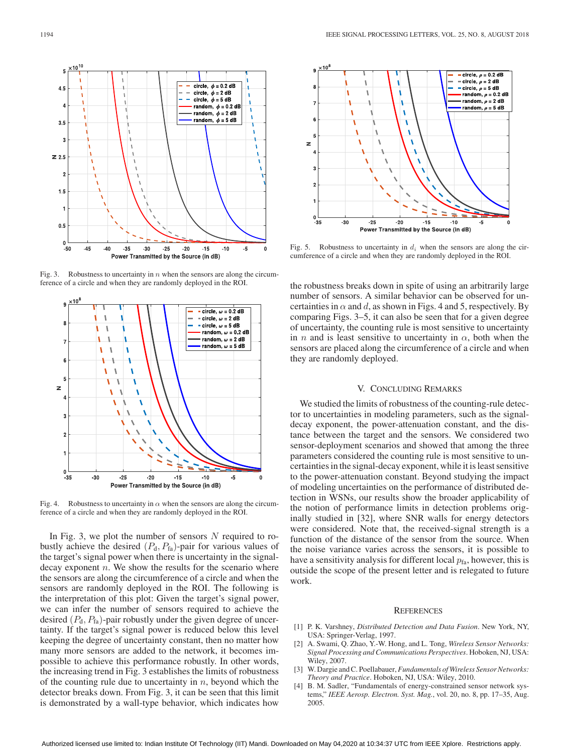

Fig. 3. Robustness to uncertainty in n when the sensors are along the circumference of a circle and when they are randomly deployed in the ROI.



Fig. 4. Robustness to uncertainty in  $\alpha$  when the sensors are along the circumference of a circle and when they are randomly deployed in the ROI.

In Fig. 3, we plot the number of sensors  $N$  required to robustly achieve the desired  $(P_d, P_{fa})$ -pair for various values of the target's signal power when there is uncertainty in the signaldecay exponent  $n$ . We show the results for the scenario where the sensors are along the circumference of a circle and when the sensors are randomly deployed in the ROI. The following is the interpretation of this plot: Given the target's signal power, we can infer the number of sensors required to achieve the desired  $(P_d, P_{fa})$ -pair robustly under the given degree of uncertainty. If the target's signal power is reduced below this level keeping the degree of uncertainty constant, then no matter how many more sensors are added to the network, it becomes impossible to achieve this performance robustly. In other words, the increasing trend in Fig. 3 establishes the limits of robustness of the counting rule due to uncertainty in  $n$ , beyond which the detector breaks down. From Fig. 3, it can be seen that this limit is demonstrated by a wall-type behavior, which indicates how



Fig. 5. Robustness to uncertainty in  $d_i$  when the sensors are along the circumference of a circle and when they are randomly deployed in the ROI.

the robustness breaks down in spite of using an arbitrarily large number of sensors. A similar behavior can be observed for uncertainties in  $\alpha$  and d, as shown in Figs. 4 and 5, respectively. By comparing Figs. 3–5, it can also be seen that for a given degree of uncertainty, the counting rule is most sensitive to uncertainty in *n* and is least sensitive to uncertainty in  $\alpha$ , both when the sensors are placed along the circumference of a circle and when they are randomly deployed.

# V. CONCLUDING REMARKS

We studied the limits of robustness of the counting-rule detector to uncertainties in modeling parameters, such as the signaldecay exponent, the power-attenuation constant, and the distance between the target and the sensors. We considered two sensor-deployment scenarios and showed that among the three parameters considered the counting rule is most sensitive to uncertainties in the signal-decay exponent, while it is least sensitive to the power-attenuation constant. Beyond studying the impact of modeling uncertainties on the performance of distributed detection in WSNs, our results show the broader applicability of the notion of performance limits in detection problems originally studied in [32], where SNR walls for energy detectors were considered. Note that, the received-signal strength is a function of the distance of the sensor from the source. When the noise variance varies across the sensors, it is possible to have a sensitivity analysis for different local  $p_{fa}$ , however, this is outside the scope of the present letter and is relegated to future work.

#### **REFERENCES**

- [1] P. K. Varshney, *Distributed Detection and Data Fusion*. New York, NY, USA: Springer-Verlag, 1997.
- [2] A. Swami, Q. Zhao, Y.-W. Hong, and L. Tong, *Wireless Sensor Networks: Signal Processing and Communications Perspectives*. Hoboken, NJ, USA: Wiley, 2007.
- [3] W. Dargie and C. Poellabauer, *Fundamentals of Wireless Sensor Networks: Theory and Practice*. Hoboken, NJ, USA: Wiley, 2010.
- [4] B. M. Sadler, "Fundamentals of energy-constrained sensor network systems," *IEEE Aerosp. Electron. Syst. Mag.*, vol. 20, no. 8, pp. 17–35, Aug. 2005.